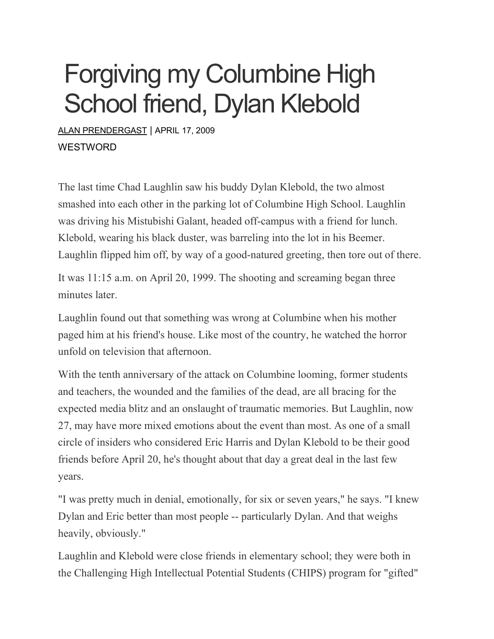## Forgiving my Columbine High School friend, Dylan Klebold

ALAN [PRENDERGAST](https://www.westword.com/authors/alan-prendergast-5052731) | APRIL 17, 2009 **WESTWORD** 

The last time Chad Laughlin saw his buddy Dylan Klebold, the two almost smashed into each other in the parking lot of Columbine High School. Laughlin was driving his Mistubishi Galant, headed off-campus with a friend for lunch. Klebold, wearing his black duster, was barreling into the lot in his Beemer. Laughlin flipped him off, by way of a good-natured greeting, then tore out of there.

It was 11:15 a.m. on April 20, 1999. The shooting and screaming began three minutes later.

Laughlin found out that something was wrong at Columbine when his mother paged him at his friend's house. Like most of the country, he watched the horror unfold on television that afternoon.

With the tenth anniversary of the attack on Columbine looming, former students and teachers, the wounded and the families of the dead, are all bracing for the expected media blitz and an onslaught of traumatic memories. But Laughlin, now 27, may have more mixed emotions about the event than most. As one of a small circle of insiders who considered Eric Harris and Dylan Klebold to be their good friends before April 20, he's thought about that day a great deal in the last few years.

"I was pretty much in denial, emotionally, for six or seven years," he says. "I knew Dylan and Eric better than most people -- particularly Dylan. And that weighs heavily, obviously."

Laughlin and Klebold were close friends in elementary school; they were both in the Challenging High Intellectual Potential Students (CHIPS) program for "gifted"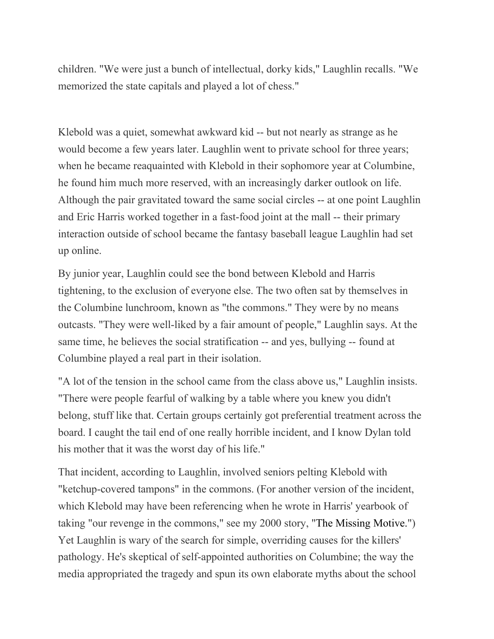children. "We were just a bunch of intellectual, dorky kids," Laughlin recalls. "We memorized the state capitals and played a lot of chess."

Klebold was a quiet, somewhat awkward kid -- but not nearly as strange as he would become a few years later. Laughlin went to private school for three years; when he became reaquainted with Klebold in their sophomore year at Columbine, he found him much more reserved, with an increasingly darker outlook on life. Although the pair gravitated toward the same social circles -- at one point Laughlin and Eric Harris worked together in a fast-food joint at the mall -- their primary interaction outside of school became the fantasy baseball league Laughlin had set up online.

By junior year, Laughlin could see the bond between Klebold and Harris tightening, to the exclusion of everyone else. The two often sat by themselves in the Columbine lunchroom, known as "the commons." They were by no means outcasts. "They were well-liked by a fair amount of people," Laughlin says. At the same time, he believes the social stratification -- and yes, bullying -- found at Columbine played a real part in their isolation.

"A lot of the tension in the school came from the class above us," Laughlin insists. "There were people fearful of walking by a table where you knew you didn't belong, stuff like that. Certain groups certainly got preferential treatment across the board. I caught the tail end of one really horrible incident, and I know Dylan told his mother that it was the worst day of his life."

That incident, according to Laughlin, involved seniors pelting Klebold with "ketchup-covered tampons" in the commons. (For another version of the incident, which Klebold may have been referencing when he wrote in Harris' yearbook of taking "our revenge in the commons," see my 2000 story, "The [Missing](http://www.westword.com/2000-07-13/news/the-missing-motive/) Motive.") Yet Laughlin is wary of the search for simple, overriding causes for the killers' pathology. He's skeptical of self-appointed authorities on Columbine; the way the media appropriated the tragedy and spun its own elaborate myths about the school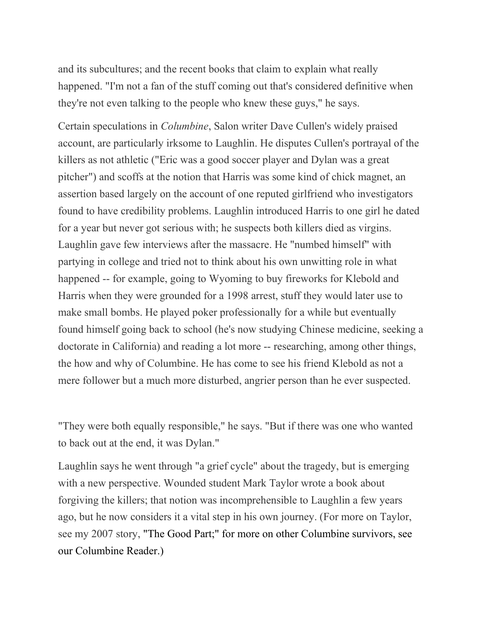and its subcultures; and the recent books that claim to explain what really happened. "I'm not a fan of the stuff coming out that's considered definitive when they're not even talking to the people who knew these guys," he says.

Certain speculations in *Columbine*, Salon writer Dave Cullen's widely praised account, are particularly irksome to Laughlin. He disputes Cullen's portrayal of the killers as not athletic ("Eric was a good soccer player and Dylan was a great pitcher") and scoffs at the notion that Harris was some kind of chick magnet, an assertion based largely on the account of one reputed girlfriend who investigators found to have credibility problems. Laughlin introduced Harris to one girl he dated for a year but never got serious with; he suspects both killers died as virgins. Laughlin gave few interviews after the massacre. He "numbed himself" with partying in college and tried not to think about his own unwitting role in what happened -- for example, going to Wyoming to buy fireworks for Klebold and Harris when they were grounded for a 1998 arrest, stuff they would later use to make small bombs. He played poker professionally for a while but eventually found himself going back to school (he's now studying Chinese medicine, seeking a doctorate in California) and reading a lot more -- researching, among other things, the how and why of Columbine. He has come to see his friend Klebold as not a mere follower but a much more disturbed, angrier person than he ever suspected.

"They were both equally responsible," he says. "But if there was one who wanted to back out at the end, it was Dylan."

Laughlin says he went through "a grief cycle" about the tragedy, but is emerging with a new perspective. Wounded student Mark Taylor wrote a book about forgiving the killers; that notion was incomprehensible to Laughlin a few years ago, but he now considers it a vital step in his own journey. (For more on Taylor, see my 2007 story, "The [Good](http://www.westword.com/2007-02-01/news/the-good-part/) Part;" for more on other Columbine survivors, see our [Columbine](http://www.westword.com/specialReports/view/574910) Reader.)